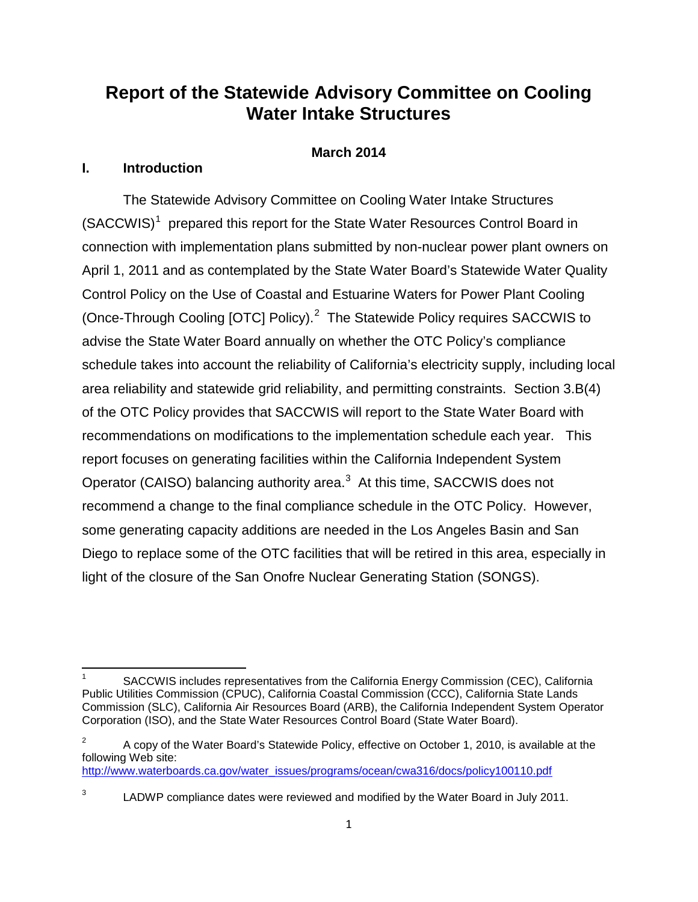# **Report of the Statewide Advisory Committee on Cooling Water Intake Structures**

## **March 2014**

## **I. Introduction**

The Statewide Advisory Committee on Cooling Water Intake Structures  $(SACCWIS)^1$  $(SACCWIS)^1$  prepared this report for the State Water Resources Control Board in connection with implementation plans submitted by non-nuclear power plant owners on April 1, 2011 and as contemplated by the State Water Board's Statewide Water Quality Control Policy on the Use of Coastal and Estuarine Waters for Power Plant Cooling (Once-Through Cooling [OTC] Policy).<sup>[2](#page-0-1)</sup> The Statewide Policy requires SACCWIS to advise the State Water Board annually on whether the OTC Policy's compliance schedule takes into account the reliability of California's electricity supply, including local area reliability and statewide grid reliability, and permitting constraints. Section 3.B(4) of the OTC Policy provides that SACCWIS will report to the State Water Board with recommendations on modifications to the implementation schedule each year. This report focuses on generating facilities within the California Independent System Operator (CAISO) balancing authority area.<sup>[3](#page-0-2)</sup> At this time, SACCWIS does not recommend a change to the final compliance schedule in the OTC Policy. However, some generating capacity additions are needed in the Los Angeles Basin and San Diego to replace some of the OTC facilities that will be retired in this area, especially in light of the closure of the San Onofre Nuclear Generating Station (SONGS).

[http://www.waterboards.ca.gov/water\\_issues/programs/ocean/cwa316/docs/policy100110.pdf](http://www.waterboards.ca.gov/water_issues/programs/ocean/cwa316/docs/policy100110.pdf)

<span id="page-0-0"></span>SACCWIS includes representatives from the California Energy Commission (CEC), California Public Utilities Commission (CPUC), California Coastal Commission (CCC), California State Lands Commission (SLC), California Air Resources Board (ARB), the California Independent System Operator Corporation (ISO), and the State Water Resources Control Board (State Water Board).

<span id="page-0-1"></span> $2^2$  A copy of the Water Board's Statewide Policy, effective on October 1, 2010, is available at the following Web site:

<span id="page-0-2"></span><sup>&</sup>lt;sup>3</sup> LADWP compliance dates were reviewed and modified by the Water Board in July 2011.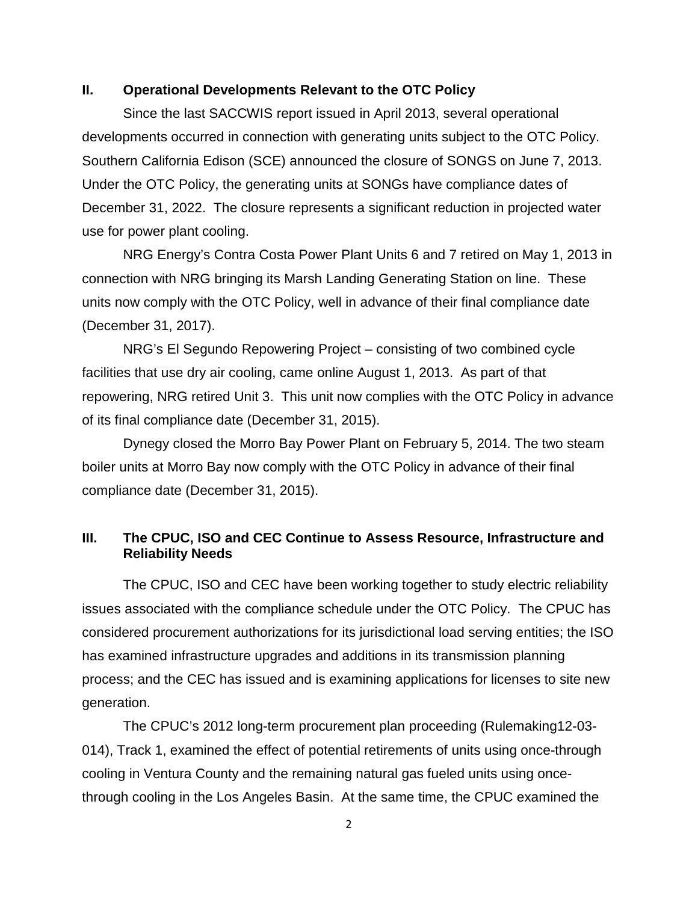### **II. Operational Developments Relevant to the OTC Policy**

Since the last SACCWIS report issued in April 2013, several operational developments occurred in connection with generating units subject to the OTC Policy. Southern California Edison (SCE) announced the closure of SONGS on June 7, 2013. Under the OTC Policy, the generating units at SONGs have compliance dates of December 31, 2022. The closure represents a significant reduction in projected water use for power plant cooling.

NRG Energy's Contra Costa Power Plant Units 6 and 7 retired on May 1, 2013 in connection with NRG bringing its Marsh Landing Generating Station on line. These units now comply with the OTC Policy, well in advance of their final compliance date (December 31, 2017).

NRG's El Segundo Repowering Project – consisting of two combined cycle facilities that use dry air cooling, came online August 1, 2013. As part of that repowering, NRG retired Unit 3. This unit now complies with the OTC Policy in advance of its final compliance date (December 31, 2015).

Dynegy closed the Morro Bay Power Plant on February 5, 2014. The two steam boiler units at Morro Bay now comply with the OTC Policy in advance of their final compliance date (December 31, 2015).

## **III. The CPUC, ISO and CEC Continue to Assess Resource, Infrastructure and Reliability Needs**

The CPUC, ISO and CEC have been working together to study electric reliability issues associated with the compliance schedule under the OTC Policy. The CPUC has considered procurement authorizations for its jurisdictional load serving entities; the ISO has examined infrastructure upgrades and additions in its transmission planning process; and the CEC has issued and is examining applications for licenses to site new generation.

The CPUC's 2012 long-term procurement plan proceeding (Rulemaking12-03- 014), Track 1, examined the effect of potential retirements of units using once-through cooling in Ventura County and the remaining natural gas fueled units using oncethrough cooling in the Los Angeles Basin. At the same time, the CPUC examined the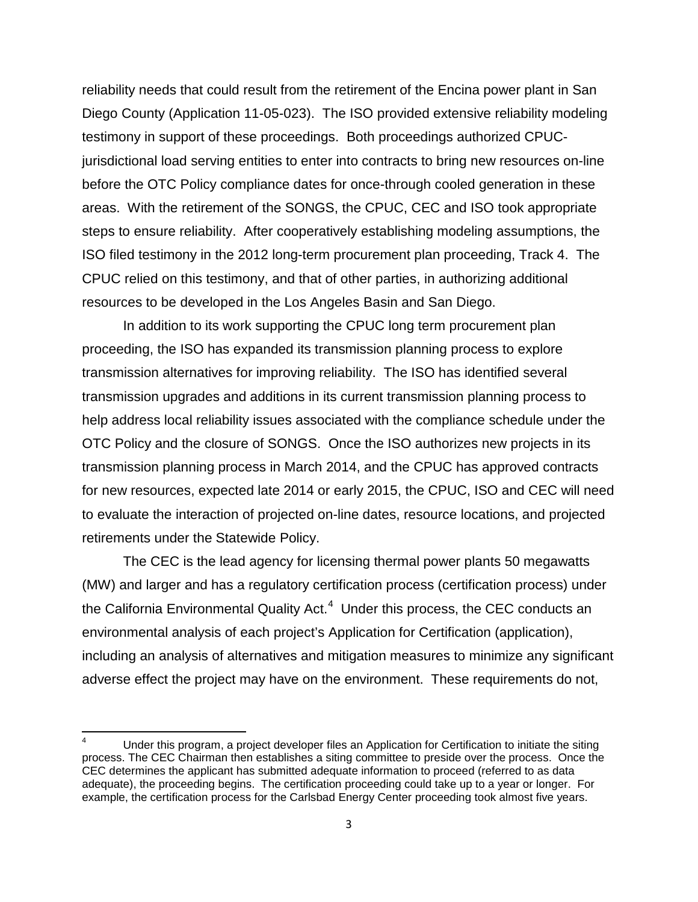reliability needs that could result from the retirement of the Encina power plant in San Diego County (Application 11-05-023). The ISO provided extensive reliability modeling testimony in support of these proceedings. Both proceedings authorized CPUCjurisdictional load serving entities to enter into contracts to bring new resources on-line before the OTC Policy compliance dates for once-through cooled generation in these areas. With the retirement of the SONGS, the CPUC, CEC and ISO took appropriate steps to ensure reliability. After cooperatively establishing modeling assumptions, the ISO filed testimony in the 2012 long-term procurement plan proceeding, Track 4. The CPUC relied on this testimony, and that of other parties, in authorizing additional resources to be developed in the Los Angeles Basin and San Diego.

In addition to its work supporting the CPUC long term procurement plan proceeding, the ISO has expanded its transmission planning process to explore transmission alternatives for improving reliability. The ISO has identified several transmission upgrades and additions in its current transmission planning process to help address local reliability issues associated with the compliance schedule under the OTC Policy and the closure of SONGS. Once the ISO authorizes new projects in its transmission planning process in March 2014, and the CPUC has approved contracts for new resources, expected late 2014 or early 2015, the CPUC, ISO and CEC will need to evaluate the interaction of projected on-line dates, resource locations, and projected retirements under the Statewide Policy.

The CEC is the lead agency for licensing thermal power plants 50 megawatts (MW) and larger and has a regulatory certification process (certification process) under the California Environmental Quality Act.<sup>[4](#page-2-0)</sup> Under this process, the CEC conducts an environmental analysis of each project's Application for Certification (application), including an analysis of alternatives and mitigation measures to minimize any significant adverse effect the project may have on the environment. These requirements do not,

<span id="page-2-0"></span>Under this program, a project developer files an Application for Certification to initiate the siting process. The CEC Chairman then establishes a siting committee to preside over the process. Once the CEC determines the applicant has submitted adequate information to proceed (referred to as data adequate), the proceeding begins. The certification proceeding could take up to a year or longer. For example, the certification process for the Carlsbad Energy Center proceeding took almost five years.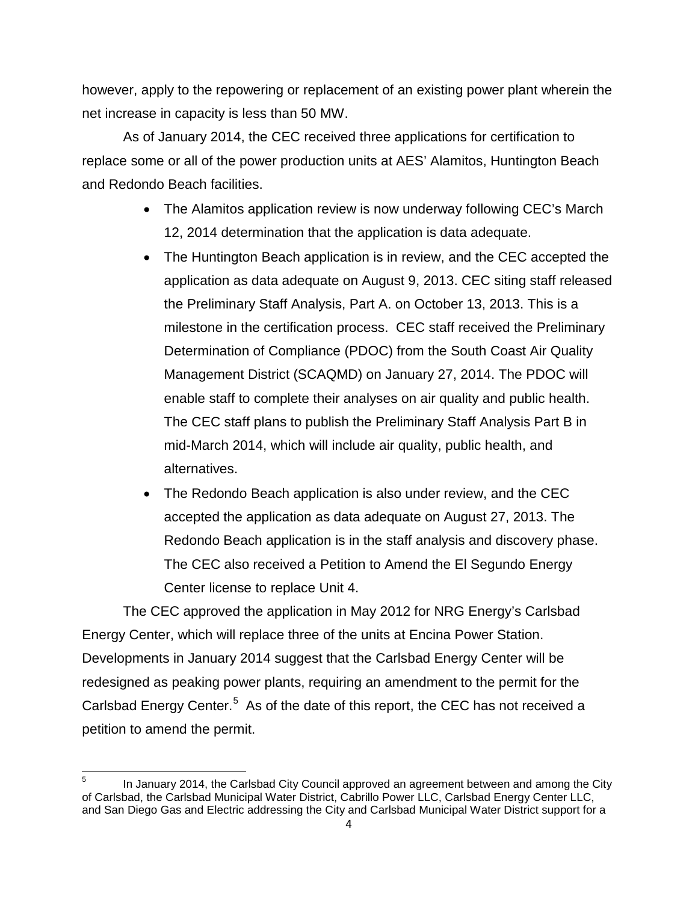however, apply to the repowering or replacement of an existing power plant wherein the net increase in capacity is less than 50 MW.

As of January 2014, the CEC received three applications for certification to replace some or all of the power production units at AES' Alamitos, Huntington Beach and Redondo Beach facilities.

- The Alamitos application review is now underway following CEC's March 12, 2014 determination that the application is data adequate.
- The Huntington Beach application is in review, and the CEC accepted the application as data adequate on August 9, 2013. CEC siting staff released the Preliminary Staff Analysis, Part A. on October 13, 2013. This is a milestone in the certification process. CEC staff received the Preliminary Determination of Compliance (PDOC) from the South Coast Air Quality Management District (SCAQMD) on January 27, 2014. The PDOC will enable staff to complete their analyses on air quality and public health. The CEC staff plans to publish the Preliminary Staff Analysis Part B in mid-March 2014, which will include air quality, public health, and alternatives.
- The Redondo Beach application is also under review, and the CEC accepted the application as data adequate on August 27, 2013. The Redondo Beach application is in the staff analysis and discovery phase. The CEC also received a Petition to Amend the El Segundo Energy Center license to replace Unit 4.

The CEC approved the application in May 2012 for NRG Energy's Carlsbad Energy Center, which will replace three of the units at Encina Power Station. Developments in January 2014 suggest that the Carlsbad Energy Center will be redesigned as peaking power plants, requiring an amendment to the permit for the Carlsbad Energy Center.<sup>[5](#page-3-0)</sup> As of the date of this report, the CEC has not received a petition to amend the permit.

<span id="page-3-0"></span>In January 2014, the Carlsbad City Council approved an agreement between and among the City of Carlsbad, the Carlsbad Municipal Water District, Cabrillo Power LLC, Carlsbad Energy Center LLC, and San Diego Gas and Electric addressing the City and Carlsbad Municipal Water District support for a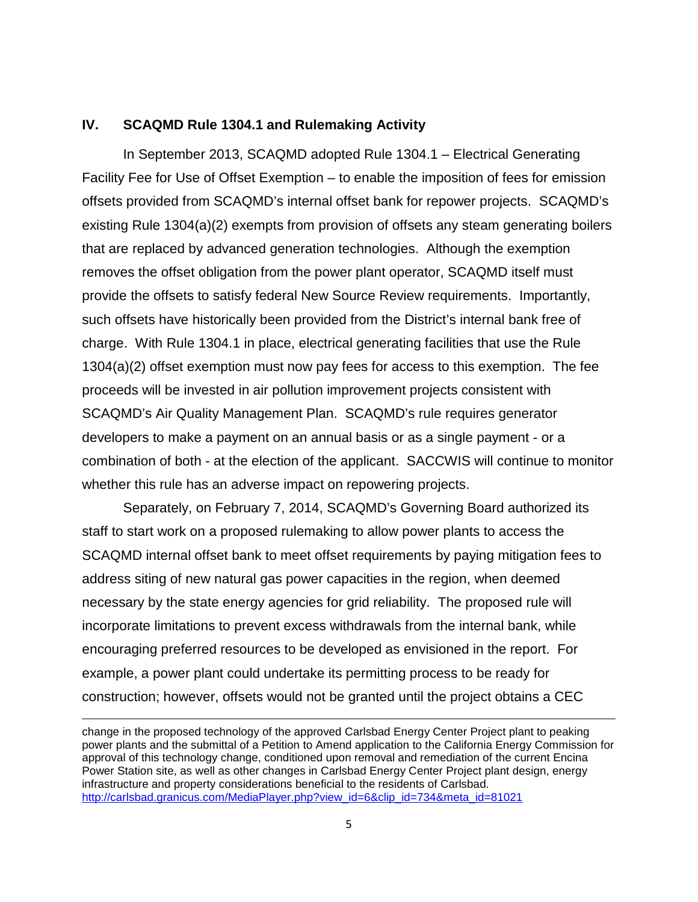### **IV. SCAQMD Rule 1304.1 and Rulemaking Activity**

In September 2013, SCAQMD adopted Rule 1304.1 – Electrical Generating Facility Fee for Use of Offset Exemption – to enable the imposition of fees for emission offsets provided from SCAQMD's internal offset bank for repower projects. SCAQMD's existing Rule 1304(a)(2) exempts from provision of offsets any steam generating boilers that are replaced by advanced generation technologies. Although the exemption removes the offset obligation from the power plant operator, SCAQMD itself must provide the offsets to satisfy federal New Source Review requirements. Importantly, such offsets have historically been provided from the District's internal bank free of charge. With Rule 1304.1 in place, electrical generating facilities that use the Rule 1304(a)(2) offset exemption must now pay fees for access to this exemption. The fee proceeds will be invested in air pollution improvement projects consistent with SCAQMD's Air Quality Management Plan. SCAQMD's rule requires generator developers to make a payment on an annual basis or as a single payment - or a combination of both - at the election of the applicant. SACCWIS will continue to monitor whether this rule has an adverse impact on repowering projects.

Separately, on February 7, 2014, SCAQMD's Governing Board authorized its staff to start work on a proposed rulemaking to allow power plants to access the SCAQMD internal offset bank to meet offset requirements by paying mitigation fees to address siting of new natural gas power capacities in the region, when deemed necessary by the state energy agencies for grid reliability. The proposed rule will incorporate limitations to prevent excess withdrawals from the internal bank, while encouraging preferred resources to be developed as envisioned in the report. For example, a power plant could undertake its permitting process to be ready for construction; however, offsets would not be granted until the project obtains a CEC

change in the proposed technology of the approved Carlsbad Energy Center Project plant to peaking power plants and the submittal of a Petition to Amend application to the California Energy Commission for approval of this technology change, conditioned upon removal and remediation of the current Encina Power Station site, as well as other changes in Carlsbad Energy Center Project plant design, energy infrastructure and property considerations beneficial to the residents of Carlsbad. [http://carlsbad.granicus.com/MediaPlayer.php?view\\_id=6&clip\\_id=734&meta\\_id=81021](http://carlsbad.granicus.com/MediaPlayer.php?view_id=6&clip_id=734&meta_id=81021)

l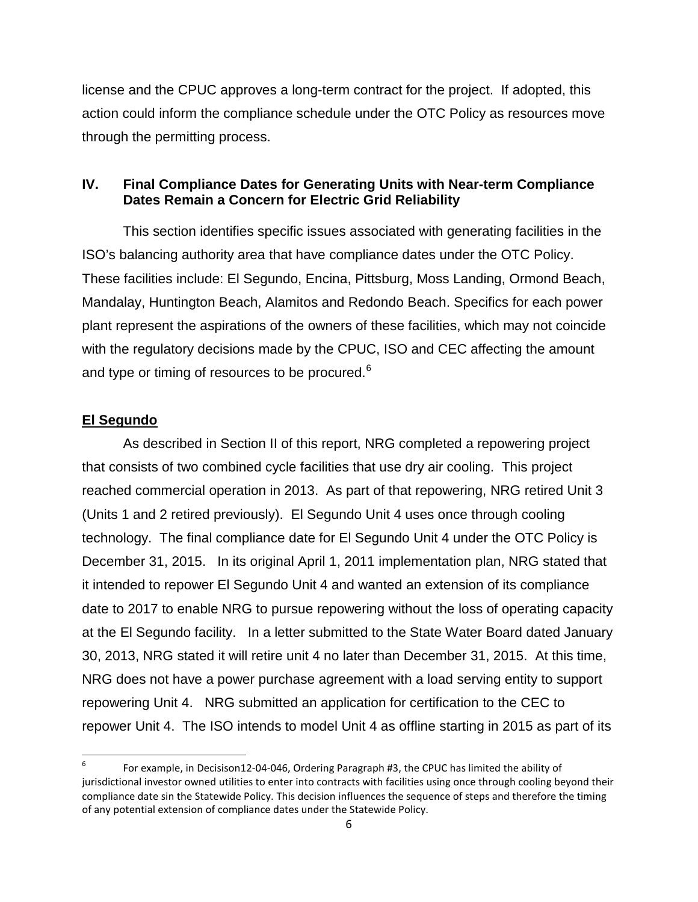license and the CPUC approves a long-term contract for the project. If adopted, this action could inform the compliance schedule under the OTC Policy as resources move through the permitting process.

## **IV. Final Compliance Dates for Generating Units with Near-term Compliance Dates Remain a Concern for Electric Grid Reliability**

This section identifies specific issues associated with generating facilities in the ISO's balancing authority area that have compliance dates under the OTC Policy. These facilities include: El Segundo, Encina, Pittsburg, Moss Landing, Ormond Beach, Mandalay, Huntington Beach, Alamitos and Redondo Beach. Specifics for each power plant represent the aspirations of the owners of these facilities, which may not coincide with the regulatory decisions made by the CPUC, ISO and CEC affecting the amount and type or timing of resources to be procured.<sup>[6](#page-5-0)</sup>

## **El Segundo**

As described in Section II of this report, NRG completed a repowering project that consists of two combined cycle facilities that use dry air cooling. This project reached commercial operation in 2013. As part of that repowering, NRG retired Unit 3 (Units 1 and 2 retired previously). El Segundo Unit 4 uses once through cooling technology. The final compliance date for El Segundo Unit 4 under the OTC Policy is December 31, 2015. In its original April 1, 2011 implementation plan, NRG stated that it intended to repower El Segundo Unit 4 and wanted an extension of its compliance date to 2017 to enable NRG to pursue repowering without the loss of operating capacity at the El Segundo facility. In a letter submitted to the State Water Board dated January 30, 2013, NRG stated it will retire unit 4 no later than December 31, 2015. At this time, NRG does not have a power purchase agreement with a load serving entity to support repowering Unit 4. NRG submitted an application for certification to the CEC to repower Unit 4. The ISO intends to model Unit 4 as offline starting in 2015 as part of its

<span id="page-5-0"></span> <sup>6</sup> For example, in Decisison12-04-046, Ordering Paragraph #3, the CPUC has limited the ability of jurisdictional investor owned utilities to enter into contracts with facilities using once through cooling beyond their compliance date sin the Statewide Policy. This decision influences the sequence of steps and therefore the timing of any potential extension of compliance dates under the Statewide Policy.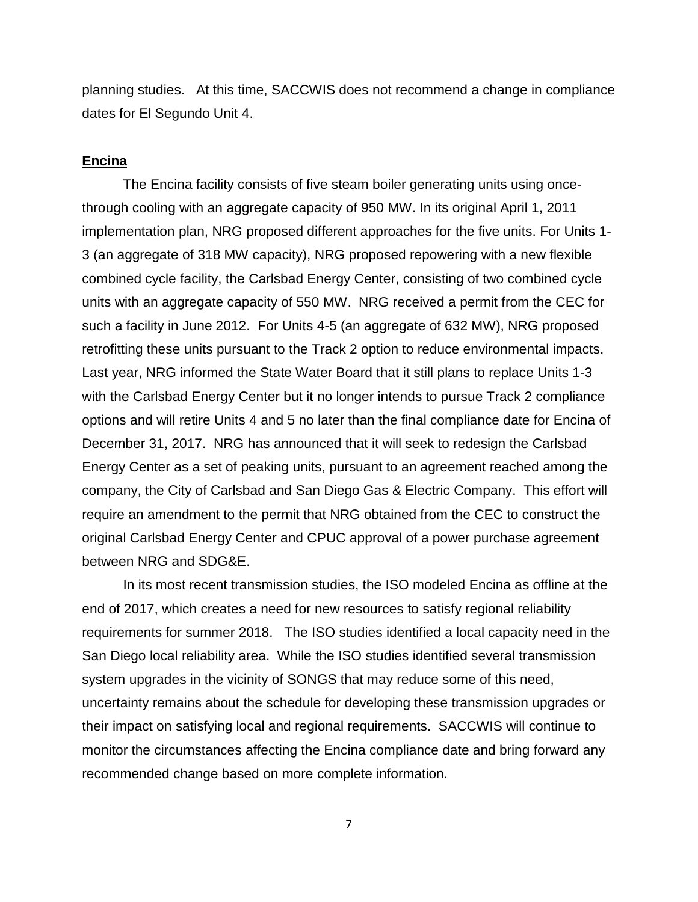planning studies. At this time, SACCWIS does not recommend a change in compliance dates for El Segundo Unit 4.

#### **Encina**

The Encina facility consists of five steam boiler generating units using oncethrough cooling with an aggregate capacity of 950 MW. In its original April 1, 2011 implementation plan, NRG proposed different approaches for the five units. For Units 1- 3 (an aggregate of 318 MW capacity), NRG proposed repowering with a new flexible combined cycle facility, the Carlsbad Energy Center, consisting of two combined cycle units with an aggregate capacity of 550 MW. NRG received a permit from the CEC for such a facility in June 2012. For Units 4-5 (an aggregate of 632 MW), NRG proposed retrofitting these units pursuant to the Track 2 option to reduce environmental impacts. Last year, NRG informed the State Water Board that it still plans to replace Units 1-3 with the Carlsbad Energy Center but it no longer intends to pursue Track 2 compliance options and will retire Units 4 and 5 no later than the final compliance date for Encina of December 31, 2017. NRG has announced that it will seek to redesign the Carlsbad Energy Center as a set of peaking units, pursuant to an agreement reached among the company, the City of Carlsbad and San Diego Gas & Electric Company. This effort will require an amendment to the permit that NRG obtained from the CEC to construct the original Carlsbad Energy Center and CPUC approval of a power purchase agreement between NRG and SDG&E.

In its most recent transmission studies, the ISO modeled Encina as offline at the end of 2017, which creates a need for new resources to satisfy regional reliability requirements for summer 2018. The ISO studies identified a local capacity need in the San Diego local reliability area. While the ISO studies identified several transmission system upgrades in the vicinity of SONGS that may reduce some of this need, uncertainty remains about the schedule for developing these transmission upgrades or their impact on satisfying local and regional requirements. SACCWIS will continue to monitor the circumstances affecting the Encina compliance date and bring forward any recommended change based on more complete information.

7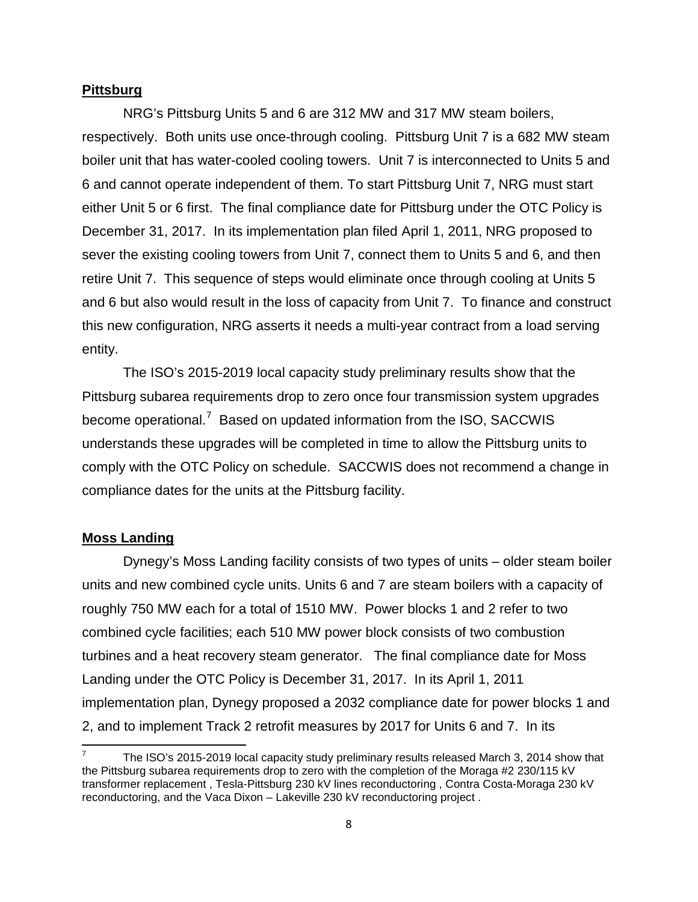#### **Pittsburg**

NRG's Pittsburg Units 5 and 6 are 312 MW and 317 MW steam boilers, respectively. Both units use once-through cooling. Pittsburg Unit 7 is a 682 MW steam boiler unit that has water-cooled cooling towers. Unit 7 is interconnected to Units 5 and 6 and cannot operate independent of them. To start Pittsburg Unit 7, NRG must start either Unit 5 or 6 first. The final compliance date for Pittsburg under the OTC Policy is December 31, 2017. In its implementation plan filed April 1, 2011, NRG proposed to sever the existing cooling towers from Unit 7, connect them to Units 5 and 6, and then retire Unit 7. This sequence of steps would eliminate once through cooling at Units 5 and 6 but also would result in the loss of capacity from Unit 7. To finance and construct this new configuration, NRG asserts it needs a multi-year contract from a load serving entity.

The ISO's 2015-2019 local capacity study preliminary results show that the Pittsburg subarea requirements drop to zero once four transmission system upgrades become operational.<sup>[7](#page-7-0)</sup> Based on updated information from the ISO, SACCWIS understands these upgrades will be completed in time to allow the Pittsburg units to comply with the OTC Policy on schedule. SACCWIS does not recommend a change in compliance dates for the units at the Pittsburg facility.

#### **Moss Landing**

Dynegy's Moss Landing facility consists of two types of units – older steam boiler units and new combined cycle units. Units 6 and 7 are steam boilers with a capacity of roughly 750 MW each for a total of 1510 MW. Power blocks 1 and 2 refer to two combined cycle facilities; each 510 MW power block consists of two combustion turbines and a heat recovery steam generator. The final compliance date for Moss Landing under the OTC Policy is December 31, 2017. In its April 1, 2011 implementation plan, Dynegy proposed a 2032 compliance date for power blocks 1 and 2, and to implement Track 2 retrofit measures by 2017 for Units 6 and 7. In its

<span id="page-7-0"></span><sup>7</sup> The ISO's 2015-2019 local capacity study preliminary results released March 3, 2014 show that the Pittsburg subarea requirements drop to zero with the completion of the Moraga #2 230/115 kV transformer replacement , Tesla-Pittsburg 230 kV lines reconductoring , Contra Costa-Moraga 230 kV reconductoring, and the Vaca Dixon – Lakeville 230 kV reconductoring project .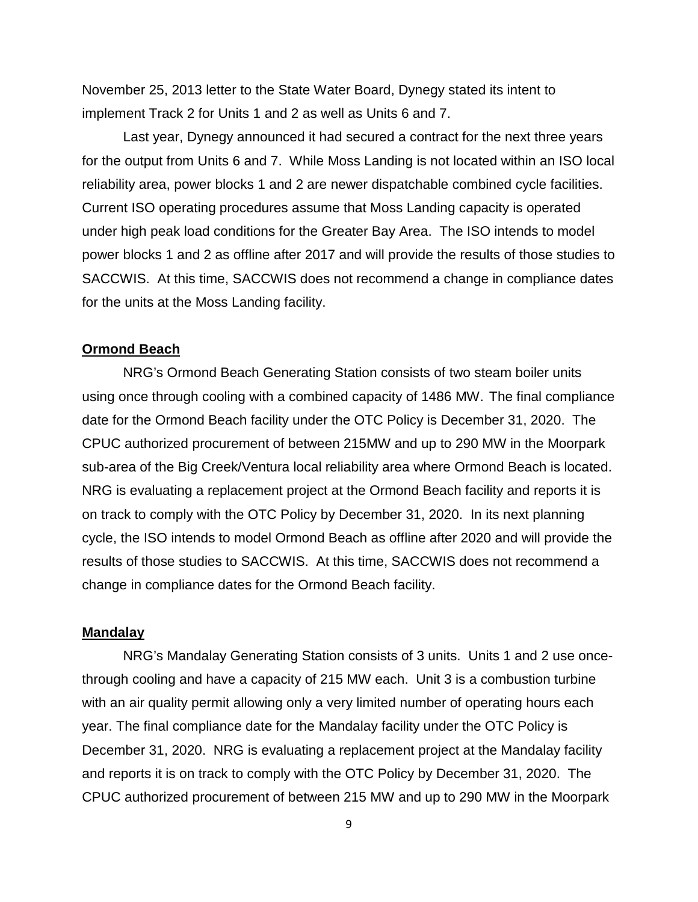November 25, 2013 letter to the State Water Board, Dynegy stated its intent to implement Track 2 for Units 1 and 2 as well as Units 6 and 7.

Last year, Dynegy announced it had secured a contract for the next three years for the output from Units 6 and 7. While Moss Landing is not located within an ISO local reliability area, power blocks 1 and 2 are newer dispatchable combined cycle facilities. Current ISO operating procedures assume that Moss Landing capacity is operated under high peak load conditions for the Greater Bay Area. The ISO intends to model power blocks 1 and 2 as offline after 2017 and will provide the results of those studies to SACCWIS. At this time, SACCWIS does not recommend a change in compliance dates for the units at the Moss Landing facility.

#### **Ormond Beach**

NRG's Ormond Beach Generating Station consists of two steam boiler units using once through cooling with a combined capacity of 1486 MW. The final compliance date for the Ormond Beach facility under the OTC Policy is December 31, 2020. The CPUC authorized procurement of between 215MW and up to 290 MW in the Moorpark sub-area of the Big Creek/Ventura local reliability area where Ormond Beach is located. NRG is evaluating a replacement project at the Ormond Beach facility and reports it is on track to comply with the OTC Policy by December 31, 2020. In its next planning cycle, the ISO intends to model Ormond Beach as offline after 2020 and will provide the results of those studies to SACCWIS. At this time, SACCWIS does not recommend a change in compliance dates for the Ormond Beach facility.

#### **Mandalay**

NRG's Mandalay Generating Station consists of 3 units. Units 1 and 2 use oncethrough cooling and have a capacity of 215 MW each. Unit 3 is a combustion turbine with an air quality permit allowing only a very limited number of operating hours each year. The final compliance date for the Mandalay facility under the OTC Policy is December 31, 2020. NRG is evaluating a replacement project at the Mandalay facility and reports it is on track to comply with the OTC Policy by December 31, 2020. The CPUC authorized procurement of between 215 MW and up to 290 MW in the Moorpark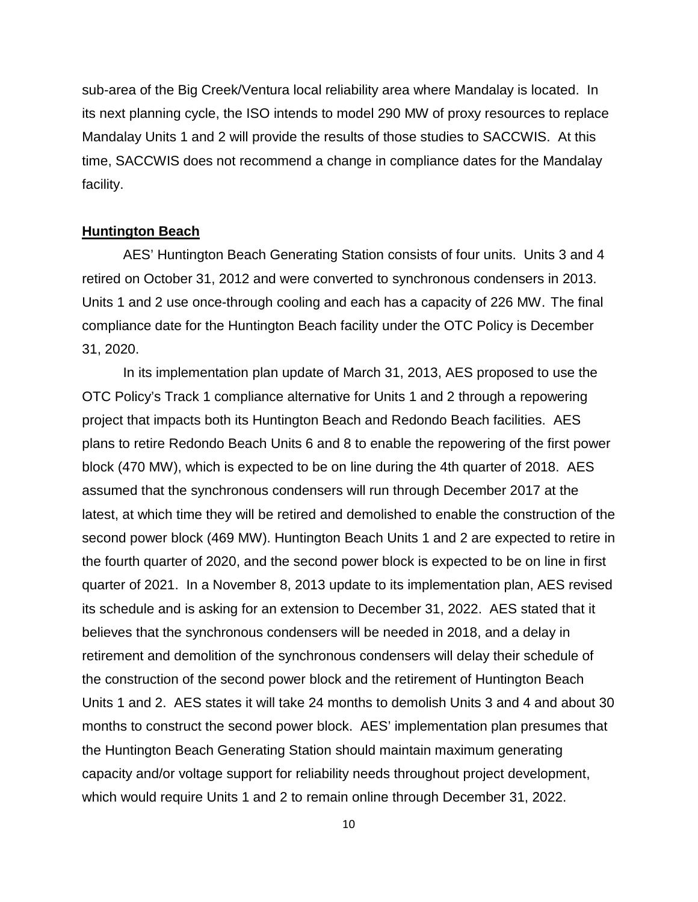sub-area of the Big Creek/Ventura local reliability area where Mandalay is located. In its next planning cycle, the ISO intends to model 290 MW of proxy resources to replace Mandalay Units 1 and 2 will provide the results of those studies to SACCWIS. At this time, SACCWIS does not recommend a change in compliance dates for the Mandalay facility.

#### **Huntington Beach**

AES' Huntington Beach Generating Station consists of four units. Units 3 and 4 retired on October 31, 2012 and were converted to synchronous condensers in 2013. Units 1 and 2 use once-through cooling and each has a capacity of 226 MW. The final compliance date for the Huntington Beach facility under the OTC Policy is December 31, 2020.

In its implementation plan update of March 31, 2013, AES proposed to use the OTC Policy's Track 1 compliance alternative for Units 1 and 2 through a repowering project that impacts both its Huntington Beach and Redondo Beach facilities. AES plans to retire Redondo Beach Units 6 and 8 to enable the repowering of the first power block (470 MW), which is expected to be on line during the 4th quarter of 2018. AES assumed that the synchronous condensers will run through December 2017 at the latest, at which time they will be retired and demolished to enable the construction of the second power block (469 MW). Huntington Beach Units 1 and 2 are expected to retire in the fourth quarter of 2020, and the second power block is expected to be on line in first quarter of 2021. In a November 8, 2013 update to its implementation plan, AES revised its schedule and is asking for an extension to December 31, 2022. AES stated that it believes that the synchronous condensers will be needed in 2018, and a delay in retirement and demolition of the synchronous condensers will delay their schedule of the construction of the second power block and the retirement of Huntington Beach Units 1 and 2. AES states it will take 24 months to demolish Units 3 and 4 and about 30 months to construct the second power block. AES' implementation plan presumes that the Huntington Beach Generating Station should maintain maximum generating capacity and/or voltage support for reliability needs throughout project development, which would require Units 1 and 2 to remain online through December 31, 2022.

10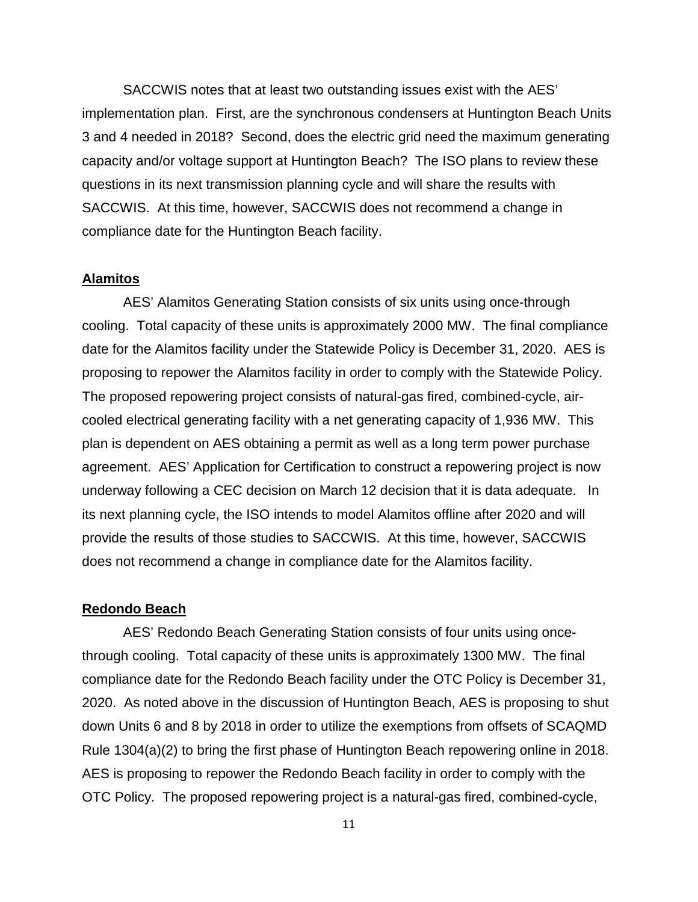SACCWIS notes that at least two outstanding issues exist with the AES' implementation plan. First, are the synchronous condensers at Huntington Beach Units 3 and 4 needed in 2018? Second, does the electric grid need the maximum generating capacity and/or voltage support at Huntington Beach? The ISO plans to review these questions in its next transmission planning cycle and will share the results with SACCWIS. At this time, however, SACCWIS does not recommend a change in compliance date for the Huntington Beach facility.

#### **Alamitos**

AES' Alamitos Generating Station consists of six units using once-through cooling. Total capacity of these units is approximately 2000 MW. The final compliance date for the Alamitos facility under the Statewide Policy is December 31, 2020. AES is proposing to repower the Alamitos facility in order to comply with the Statewide Policy. The proposed repowering project consists of natural-gas fired, combined-cycle, aircooled electrical generating facility with a net generating capacity of 1,936 MW. This plan is dependent on AES obtaining a permit as well as a long term power purchase agreement. AES' Application for Certification to construct a repowering project is now underway following a CEC decision on March 12 decision that it is data adequate. In its next planning cycle, the ISO intends to model Alamitos offline after 2020 and will provide the results of those studies to SACCWIS. At this time, however, SACCWIS does not recommend a change in compliance date for the Alamitos facility.

#### **Redondo Beach**

AES' Redondo Beach Generating Station consists of four units using oncethrough cooling. Total capacity of these units is approximately 1300 MW. The final compliance date for the Redondo Beach facility under the OTC Policy is December 31, 2020. As noted above in the discussion of Huntington Beach, AES is proposing to shut down Units 6 and 8 by 2018 in order to utilize the exemptions from offsets of SCAQMD Rule 1304(a)(2) to bring the first phase of Huntington Beach repowering online in 2018. AES is proposing to repower the Redondo Beach facility in order to comply with the OTC Policy. The proposed repowering project is a natural-gas fired, combined-cycle,